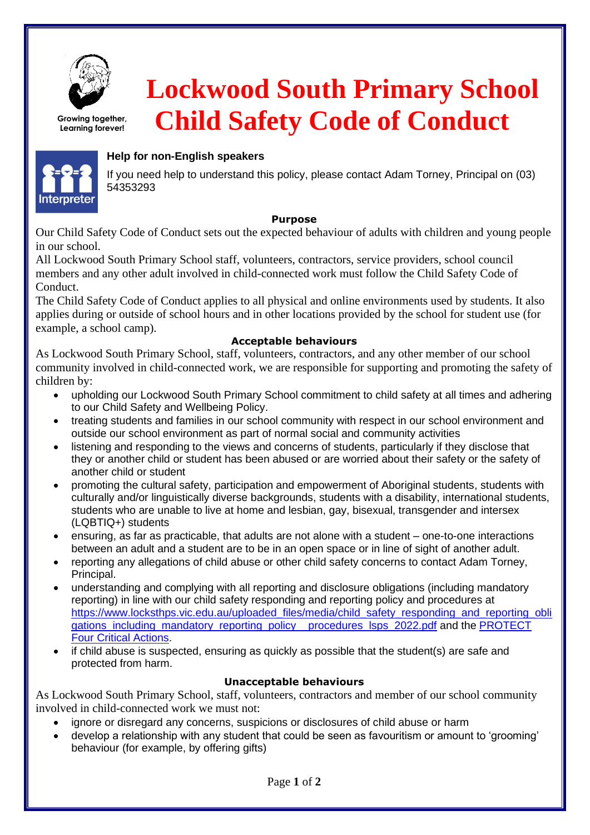

**Growing together, Learning forever!**

 **Lockwood South Primary School Child Safety Code of Conduct**



**Interpreter** 

# **Help for non-English speakers**

If you need help to understand this policy, please contact Adam Torney, Principal on (03) 54353293

### **Purpose**

Our Child Safety Code of Conduct sets out the expected behaviour of adults with children and young people in our school.

All Lockwood South Primary School staff, volunteers, contractors, service providers, school council members and any other adult involved in child-connected work must follow the Child Safety Code of Conduct.

The Child Safety Code of Conduct applies to all physical and online environments used by students. It also applies during or outside of school hours and in other locations provided by the school for student use (for example, a school camp).

### **Acceptable behaviours**

As Lockwood South Primary School, staff, volunteers, contractors, and any other member of our school community involved in child-connected work, we are responsible for supporting and promoting the safety of children by:

- upholding our Lockwood South Primary School commitment to child safety at all times and adhering to our Child Safety and Wellbeing Policy.
- treating students and families in our school community with respect in our school environment and outside our school environment as part of normal social and community activities
- listening and responding to the views and concerns of students, particularly if they disclose that they or another child or student has been abused or are worried about their safety or the safety of another child or student
- promoting the cultural safety, participation and empowerment of Aboriginal students, students with culturally and/or linguistically diverse backgrounds, students with a disability, international students, students who are unable to live at home and lesbian, gay, bisexual, transgender and intersex (LQBTIQ+) students
- ensuring, as far as practicable, that adults are not alone with a student one-to-one interactions between an adult and a student are to be in an open space or in line of sight of another adult.
- reporting any allegations of child abuse or other child safety concerns to contact Adam Torney, Principal.
- understanding and complying with all reporting and disclosure obligations (including mandatory reporting) in line with our child safety responding and reporting policy and procedures at [https://www.locksthps.vic.edu.au/uploaded\\_files/media/child\\_safety\\_responding\\_and\\_reporting\\_obli](https://www.locksthps.vic.edu.au/uploaded_files/media/child_safety_responding_and_reporting_obligations_including_mandatory_reporting_policy__procedures_lsps_2022.pdf) [gations\\_including\\_mandatory\\_reporting\\_policy\\_\\_procedures\\_lsps\\_2022.pdf](https://www.locksthps.vic.edu.au/uploaded_files/media/child_safety_responding_and_reporting_obligations_including_mandatory_reporting_policy__procedures_lsps_2022.pdf) and the PROTECT [Four Critical Actions.](https://www.education.vic.gov.au/Documents/about/programs/health/protect/FourCriticalActions_ChildAbuse.pdf)
- if child abuse is suspected, ensuring as quickly as possible that the student(s) are safe and protected from harm.

### **Unacceptable behaviours**

As Lockwood South Primary School, staff, volunteers, contractors and member of our school community involved in child-connected work we must not:

- ignore or disregard any concerns, suspicions or disclosures of child abuse or harm
- develop a relationship with any student that could be seen as favouritism or amount to 'grooming' behaviour (for example, by offering gifts)